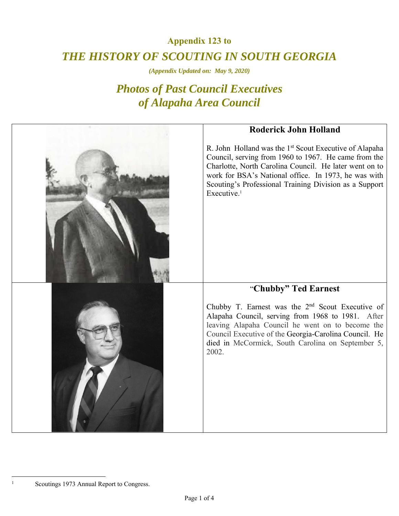## **Appendix 123 to**  *THE HISTORY OF SCOUTING IN SOUTH GEORGIA*

*(Appendix Updated on: May 9, 2020)* 

## *Photos of Past Council Executives of Alapaha Area Council*

| <b>Roderick John Holland</b>                                                                                                                                                                                                                                                                                                      |
|-----------------------------------------------------------------------------------------------------------------------------------------------------------------------------------------------------------------------------------------------------------------------------------------------------------------------------------|
| R. John Holland was the 1 <sup>st</sup> Scout Executive of Alapaha<br>Council, serving from 1960 to 1967. He came from the<br>Charlotte, North Carolina Council. He later went on to<br>work for BSA's National office. In 1973, he was with<br>Scouting's Professional Training Division as a Support<br>Executive. <sup>1</sup> |
| "Chubby" Ted Earnest                                                                                                                                                                                                                                                                                                              |
| Chubby T. Earnest was the 2 <sup>nd</sup> Scout Executive of<br>Alapaha Council, serving from 1968 to 1981. After<br>leaving Alapaha Council he went on to become the<br>Council Executive of the Georgia-Carolina Council. He<br>died in McCormick, South Carolina on September 5,<br>2002.                                      |

Scoutings 1973 Annual Report to Congress.

 $\overline{a}$ 1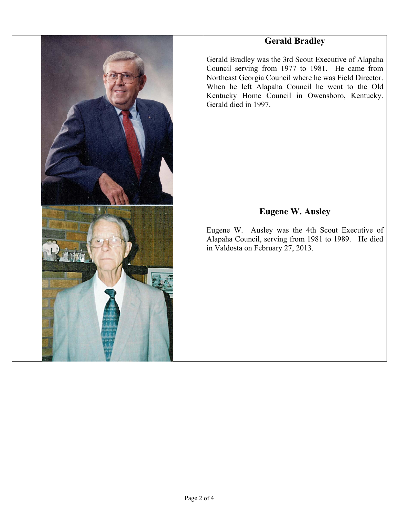| <b>Gerald Bradley</b>                                                                                                                                                                                                                                                                          |
|------------------------------------------------------------------------------------------------------------------------------------------------------------------------------------------------------------------------------------------------------------------------------------------------|
| Gerald Bradley was the 3rd Scout Executive of Alapaha<br>Council serving from 1977 to 1981. He came from<br>Northeast Georgia Council where he was Field Director.<br>When he left Alapaha Council he went to the Old<br>Kentucky Home Council in Owensboro, Kentucky.<br>Gerald died in 1997. |
| <b>Eugene W. Ausley</b><br>Eugene W. Ausley was the 4th Scout Executive of<br>Alapaha Council, serving from 1981 to 1989. He died<br>in Valdosta on February 27, 2013.                                                                                                                         |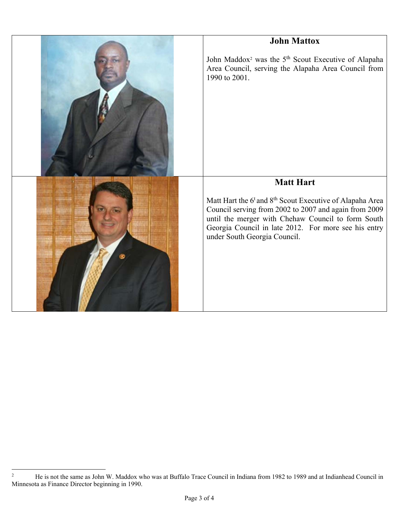

 $\frac{1}{2}$  He is not the same as John W. Maddox who was at Buffalo Trace Council in Indiana from 1982 to 1989 and at Indianhead Council in Minnesota as Finance Director beginning in 1990.